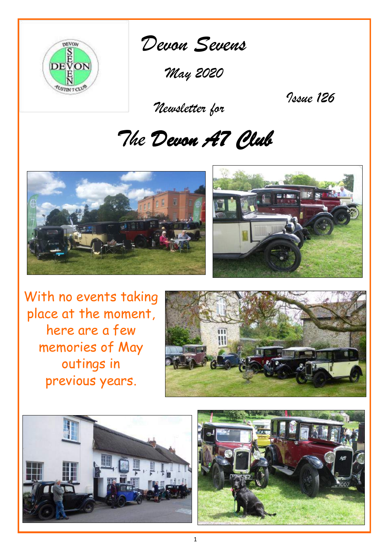

*Devon Sevens* 

*May 2020*

 *Newsletter for*

*Issue 126*

# *The Devon A7 Club*





With no events taking place at the moment, here are a few memories of May outings in previous years.





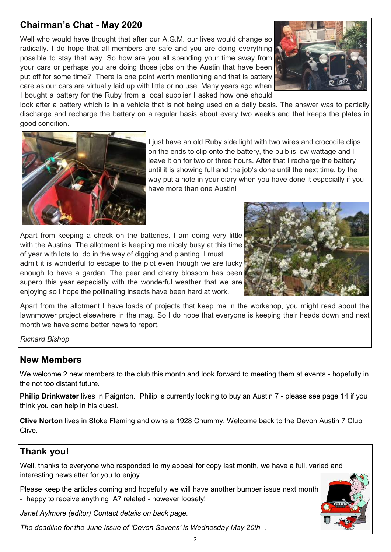# **Chairman's Chat - May 2020**

Well who would have thought that after our A.G.M. our lives would change so radically. I do hope that all members are safe and you are doing everything possible to stay that way. So how are you all spending your time away from your cars or perhaps you are doing those jobs on the Austin that have been put off for some time? There is one point worth mentioning and that is battery care as our cars are virtually laid up with little or no use. Many years ago when I bought a battery for the Ruby from a local supplier I asked how one should



look after a battery which is in a vehicle that is not being used on a daily basis. The answer was to partially discharge and recharge the battery on a regular basis about every two weeks and that keeps the plates in good condition.



I just have an old Ruby side light with two wires and crocodile clips on the ends to clip onto the battery, the bulb is low wattage and I leave it on for two or three hours. After that I recharge the battery until it is showing full and the job's done until the next time, by the way put a note in your diary when you have done it especially if you have more than one Austin!

Apart from keeping a check on the batteries, I am doing very little with the Austins. The allotment is keeping me nicely busy at this time of year with lots to do in the way of digging and planting. I must admit it is wonderful to escape to the plot even though we are lucky enough to have a garden. The pear and cherry blossom has been superb this year especially with the wonderful weather that we are enjoying so I hope the pollinating insects have been hard at work.



Apart from the allotment I have loads of projects that keep me in the workshop, you might read about the lawnmower project elsewhere in the mag. So I do hope that everyone is keeping their heads down and next month we have some better news to report.

*Richard Bishop*

## **New Members**

We welcome 2 new members to the club this month and look forward to meeting them at events - hopefully in the not too distant future.

**Philip Drinkwater** lives in Paignton. Philip is currently looking to buy an Austin 7 - please see page 14 if you think you can help in his quest.

**Clive Norton** lives in Stoke Fleming and owns a 1928 Chummy. Welcome back to the Devon Austin 7 Club Clive.

# **Thank you!**

Well, thanks to everyone who responded to my appeal for copy last month, we have a full, varied and interesting newsletter for you to enjoy.

Please keep the articles coming and hopefully we will have another bumper issue next month - happy to receive anything A7 related - however loosely!

*Janet Aylmore (editor) Contact details on back page.*

*The deadline for the June issue of 'Devon Sevens' is Wednesday May 20th .*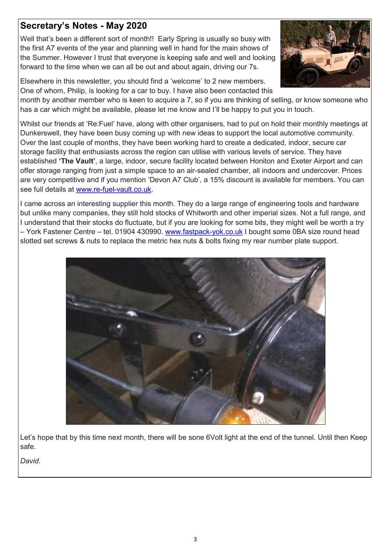# **Secretary's Notes - May 2020**

Well that's been a different sort of month!! Early Spring is usually so busy with the first A7 events of the year and planning well in hand for the main shows of the Summer. However I trust that everyone is keeping safe and well and looking forward to the time when we can all be out and about again, driving our 7s.



Elsewhere in this newsletter, you should find a 'welcome' to 2 new members. One of whom, Philip, is looking for a car to buy. I have also been contacted this

month by another member who is keen to acquire a 7, so if you are thinking of selling, or know someone who has a car which might be available, please let me know and I'll be happy to put you in touch.

Whilst our friends at 'Re:Fuel' have, along with other organisers, had to put on hold their monthly meetings at Dunkerswell, they have been busy coming up with new ideas to support the local automotive community. Over the last couple of months, they have been working hard to create a dedicated, indoor, secure car storage facility that enthusiasts across the region can utilise with various levels of service. They have established **'The Vault'**, a large, indoor, secure facility located between Honiton and Exeter Airport and can offer storage ranging from just a simple space to an air-sealed chamber, all indoors and undercover. Prices are very competitive and if you mention 'Devon A7 Club', a 15% discount is available for members. You can see full details at www.re-fuel-[vault.co.uk.](http://www.re-fuel-vault.co.uk/)

I came across an interesting supplier this month. They do a large range of engineering tools and hardware but unlike many companies, they still hold stocks of Whitworth and other imperial sizes. Not a full range, and I understand that their stocks do fluctuate, but if you are looking for some bits, they might well be worth a try – York Fastener Centre – tel. 01904 430990. [www.fastpack](http://www.fastpack-yok.co.uk)-yok.co.uk I bought some 0BA size round head slotted set screws & nuts to replace the metric hex nuts & bolts fixing my rear number plate support.



Let's hope that by this time next month, there will be sone 6Volt light at the end of the tunnel. Until then Keep safe.

*David.*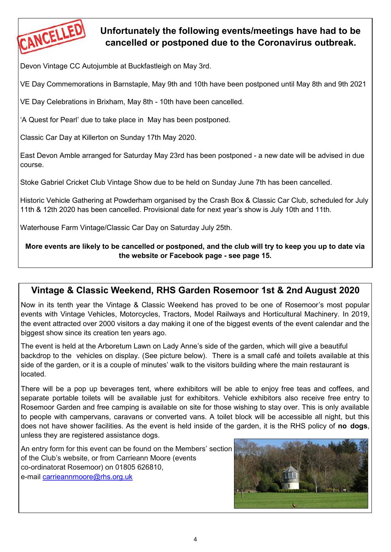

# **Unfortunately the following events/meetings have had to be cancelled or postponed due to the Coronavirus outbreak.**

Devon Vintage CC Autojumble at Buckfastleigh on May 3rd.

VE Day Commemorations in Barnstaple, May 9th and 10th have been postponed until May 8th and 9th 2021

VE Day Celebrations in Brixham, May 8th - 10th have been cancelled.

'A Quest for Pearl' due to take place in May has been postponed.

Classic Car Day at Killerton on Sunday 17th May 2020.

East Devon Amble arranged for Saturday May 23rd has been postponed - a new date will be advised in due course.

Stoke Gabriel Cricket Club Vintage Show due to be held on Sunday June 7th has been cancelled.

Historic Vehicle Gathering at Powderham organised by the Crash Box & Classic Car Club, scheduled for July 11th & 12th 2020 has been cancelled. Provisional date for next year's show is July 10th and 11th.

Waterhouse Farm Vintage/Classic Car Day on Saturday July 25th.

### **More events are likely to be cancelled or postponed, and the club will try to keep you up to date via the website or Facebook page - see page 15.**

# **Vintage & Classic Weekend, RHS Garden Rosemoor 1st & 2nd August 2020**

Now in its tenth year the Vintage & Classic Weekend has proved to be one of Rosemoor's most popular events with Vintage Vehicles, Motorcycles, Tractors, Model Railways and Horticultural Machinery. In 2019, the event attracted over 2000 visitors a day making it one of the biggest events of the event calendar and the biggest show since its creation ten years ago.

The event is held at the Arboretum Lawn on Lady Anne's side of the garden, which will give a beautiful backdrop to the vehicles on display. (See picture below). There is a small café and toilets available at this side of the garden, or it is a couple of minutes' walk to the visitors building where the main restaurant is located.

There will be a pop up beverages tent, where exhibitors will be able to enjoy free teas and coffees, and separate portable toilets will be available just for exhibitors. Vehicle exhibitors also receive free entry to Rosemoor Garden and free camping is available on site for those wishing to stay over. This is only available to people with campervans, caravans or converted vans. A toilet block will be accessible all night, but this does not have shower facilities. As the event is held inside of the garden, it is the RHS policy of **no dogs**, unless they are registered assistance dogs.

An entry form for this event can be found on the Members' section of the Club's website, or from Carrieann Moore (events co-ordinatorat Rosemoor) on 01805 626810, e-mail [carrieannmoore@rhs.org.uk](mailto:carrieannmoore@rhs.org.uk) 

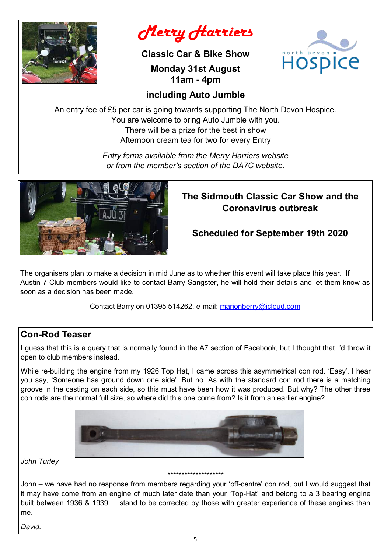

*Merry Harriers* 

**Classic Car & Bike Show**

Hospice

# **Monday 31st August 11am - 4pm**

# **including Auto Jumble**

An entry fee of £5 per car is going towards supporting The North Devon Hospice. You are welcome to bring Auto Jumble with you. There will be a prize for the best in show Afternoon cream tea for two for every Entry

> *Entry forms available from the Merry Harriers website or from the member's section of the DA7C website.*



# **The Sidmouth Classic Car Show and the Coronavirus outbreak**

# **Scheduled for September 19th 2020**

The organisers plan to make a decision in mid June as to whether this event will take place this year. If Austin 7 Club members would like to contact Barry Sangster, he will hold their details and let them know as soon as a decision has been made.

Contact Barry on 01395 514262, e-mail: marionberry@icloud.com

# **Con-Rod Teaser**

I guess that this is a query that is normally found in the A7 section of Facebook, but I thought that I'd throw it open to club members instead.

While re-building the engine from my 1926 Top Hat, I came across this asymmetrical con rod. 'Easy', I hear you say, 'Someone has ground down one side'. But no. As with the standard con rod there is a matching groove in the casting on each side, so this must have been how it was produced. But why? The other three con rods are the normal full size, so where did this one come from? Is it from an earlier engine?



*John Turley*

# \*\*\*\*\*\*\*\*\*\*\*\*\*\*\*\*\*\*\*\*

John – we have had no response from members regarding your 'off-centre' con rod, but I would suggest that it may have come from an engine of much later date than your 'Top-Hat' and belong to a 3 bearing engine built between 1936 & 1939. I stand to be corrected by those with greater experience of these engines than me.

*David.*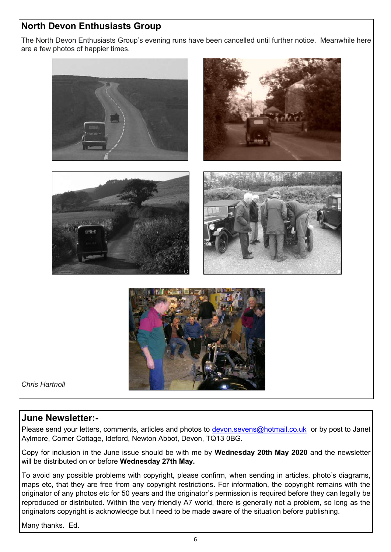# **North Devon Enthusiasts Group**

The North Devon Enthusiasts Group's evening runs have been cancelled until further notice. Meanwhile here are a few photos of happier times.



## **June Newsletter:-**

Please send your letters, comments, articles and photos to [devon.sevens@hotmail.co.uk](mailto:devon.sevens@hotmail.co.uk) or by post to Janet Aylmore, Corner Cottage, Ideford, Newton Abbot, Devon, TQ13 0BG.

Copy for inclusion in the June issue should be with me by **Wednesday 20th May 2020** and the newsletter will be distributed on or before **Wednesday 27th May.**

To avoid any possible problems with copyright, please confirm, when sending in articles, photo's diagrams, maps etc, that they are free from any copyright restrictions. For information, the copyright remains with the originator of any photos etc for 50 years and the originator's permission is required before they can legally be reproduced or distributed. Within the very friendly A7 world, there is generally not a problem, so long as the originators copyright is acknowledge but I need to be made aware of the situation before publishing.

Many thanks. Ed.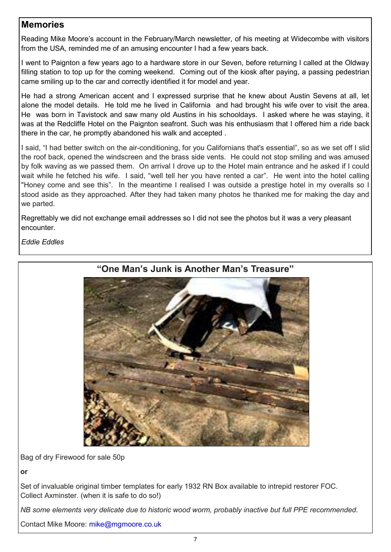# **Memories**

Reading Mike Moore's account in the February/March newsletter, of his meeting at Widecombe with visitors from the USA, reminded me of an amusing encounter I had a few years back.

I went to Paignton a few years ago to a hardware store in our Seven, before returning I called at the Oldway filling station to top up for the coming weekend. Coming out of the kiosk after paying, a passing pedestrian came smiling up to the car and correctly identified it for model and year.

He had a strong American accent and I expressed surprise that he knew about Austin Sevens at all, let alone the model details. He told me he lived in California and had brought his wife over to visit the area. He was born in Tavistock and saw many old Austins in his schooldays. I asked where he was staying, it was at the Redcliffe Hotel on the Paignton seafront. Such was his enthusiasm that I offered him a ride back there in the car, he promptly abandoned his walk and accepted .

I said, "I had better switch on the air-conditioning, for you Californians that's essential", so as we set off I slid the roof back, opened the windscreen and the brass side vents. He could not stop smiling and was amused by folk waving as we passed them. On arrival I drove up to the Hotel main entrance and he asked if I could wait while he fetched his wife. I said, "well tell her you have rented a car". He went into the hotel calling "Honey come and see this". In the meantime I realised I was outside a prestige hotel in my overalls so I stood aside as they approached. After they had taken many photos he thanked me for making the day and we parted.

Regrettably we did not exchange email addresses so I did not see the photos but it was a very pleasant encounter.

*Eddie Eddles*



Bag of dry Firewood for sale 50p

**or**

Set of invaluable original timber templates for early 1932 RN Box available to intrepid restorer FOC. Collect Axminster. (when it is safe to do so!)

*NB some elements very delicate due to historic wood worm, probably inactive but full PPE recommended.*

Contact Mike Moore: mike@mgmoore.co.uk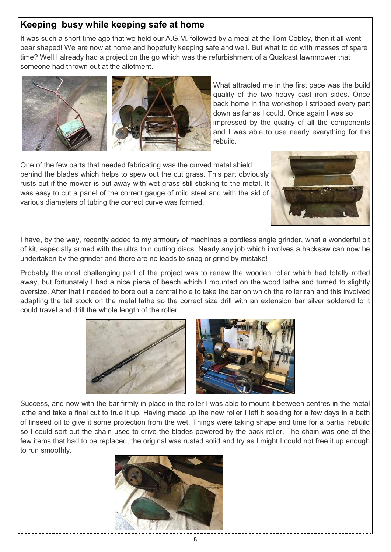# **Keeping busy while keeping safe at home**

It was such a short time ago that we held our A.G.M. followed by a meal at the Tom Cobley, then it all went pear shaped! We are now at home and hopefully keeping safe and well. But what to do with masses of spare time? Well I already had a project on the go which was the refurbishment of a Qualcast lawnmower that someone had thrown out at the allotment.





What attracted me in the first pace was the build quality of the two heavy cast iron sides. Once back home in the workshop I stripped every part down as far as I could. Once again I was so impressed by the quality of all the components and I was able to use nearly everything for the rebuild.

One of the few parts that needed fabricating was the curved metal shield behind the blades which helps to spew out the cut grass. This part obviously rusts out if the mower is put away with wet grass still sticking to the metal. It was easy to cut a panel of the correct gauge of mild steel and with the aid of various diameters of tubing the correct curve was formed.



I have, by the way, recently added to my armoury of machines a cordless angle grinder, what a wonderful bit of kit, especially armed with the ultra thin cutting discs. Nearly any job which involves a hacksaw can now be undertaken by the grinder and there are no leads to snag or grind by mistake!

Probably the most challenging part of the project was to renew the wooden roller which had totally rotted away, but fortunately I had a nice piece of beech which I mounted on the wood lathe and turned to slightly oversize. After that I needed to bore out a central hole to take the bar on which the roller ran and this involved adapting the tail stock on the metal lathe so the correct size drill with an extension bar silver soldered to it could travel and drill the whole length of the roller.



Success, and now with the bar firmly in place in the roller I was able to mount it between centres in the metal lathe and take a final cut to true it up. Having made up the new roller I left it soaking for a few days in a bath of linseed oil to give it some protection from the wet. Things were taking shape and time for a partial rebuild so I could sort out the chain used to drive the blades powered by the back roller. The chain was one of the few items that had to be replaced, the original was rusted solid and try as I might I could not free it up enough to run smoothly.

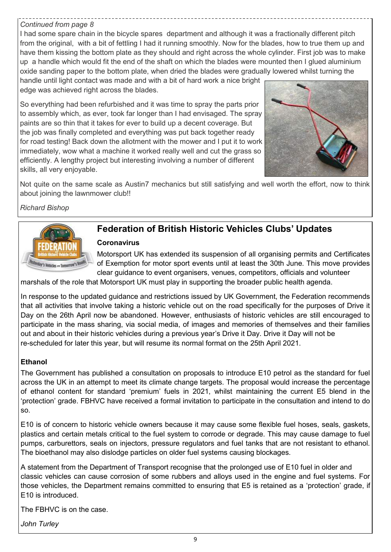### *Continued from page 8*

I had some spare chain in the bicycle spares department and although it was a fractionally different pitch from the original, with a bit of fettling I had it running smoothly. Now for the blades, how to true them up and have them kissing the bottom plate as they should and right across the whole cylinder. First job was to make up a handle which would fit the end of the shaft on which the blades were mounted then I glued aluminium oxide sanding paper to the bottom plate, when dried the blades were gradually lowered whilst turning the

handle until light contact was made and with a bit of hard work a nice bright edge was achieved right across the blades.

So everything had been refurbished and it was time to spray the parts prior to assembly which, as ever, took far longer than I had envisaged. The spray paints are so thin that it takes for ever to build up a decent coverage. But the job was finally completed and everything was put back together ready for road testing! Back down the allotment with the mower and I put it to work immediately, wow what a machine it worked really well and cut the grass so efficiently. A lengthy project but interesting involving a number of different skills, all very enjoyable.



Not quite on the same scale as Austin7 mechanics but still satisfying and well worth the effort, now to think about joining the lawnmower club!!

### *Richard Bishop*



# **Federation of British Historic Vehicles Clubs' Updates**

#### **Coronavirus**

Motorsport UK has extended its suspension of all organising permits and Certificates of Exemption for motor sport events until at least the 30th June. This move provides clear guidance to event organisers, venues, competitors, officials and volunteer

marshals of the role that Motorsport UK must play in supporting the broader public health agenda.

In response to the updated guidance and restrictions issued by UK Government, the Federation recommends that all activities that involve taking a historic vehicle out on the road specifically for the purposes of Drive it Day on the 26th April now be abandoned. However, enthusiasts of historic vehicles are still encouraged to participate in the mass sharing, via social media, of images and memories of themselves and their families out and about in their historic vehicles during a previous year's Drive it Day. Drive it Day will not be re-scheduled for later this year, but will resume its normal format on the 25th April 2021.

### **Ethanol**

The Government has published a consultation on proposals to introduce E10 petrol as the standard for fuel across the UK in an attempt to meet its climate change targets. The proposal would increase the percentage of ethanol content for standard 'premium' fuels in 2021, whilst maintaining the current E5 blend in the 'protection' grade. FBHVC have received a formal invitation to participate in the consultation and intend to do so.

E10 is of concern to historic vehicle owners because it may cause some flexible fuel hoses, seals, gaskets, plastics and certain metals critical to the fuel system to corrode or degrade. This may cause damage to fuel pumps, carburettors, seals on injectors, pressure regulators and fuel tanks that are not resistant to ethanol. The bioethanol may also dislodge particles on older fuel systems causing blockages.

A statement from the Department of Transport recognise that the prolonged use of E10 fuel in older and classic vehicles can cause corrosion of some rubbers and alloys used in the engine and fuel systems. For those vehicles, the Department remains committed to ensuring that E5 is retained as a 'protection' grade, if E10 is introduced.

The FBHVC is on the case.

*John Turley*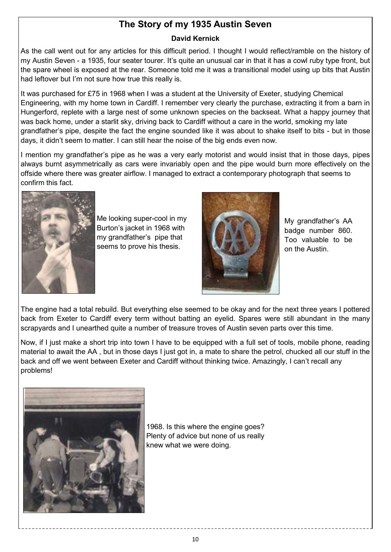# **The Story of my 1935 Austin Seven**

### **David Kernick**

As the call went out for any articles for this difficult period. I thought I would reflect/ramble on the history of my Austin Seven - a 1935, four seater tourer. It's quite an unusual car in that it has a cowl ruby type front, but the spare wheel is exposed at the rear. Someone told me it was a transitional model using up bits that Austin had leftover but I'm not sure how true this really is.

It was purchased for £75 in 1968 when I was a student at the University of Exeter, studying Chemical Engineering, with my home town in Cardiff. I remember very clearly the purchase, extracting it from a barn in Hungerford, replete with a large nest of some unknown species on the backseat. What a happy journey that was back home, under a starlit sky, driving back to Cardiff without a care in the world, smoking my late grandfather's pipe, despite the fact the engine sounded like it was about to shake itself to bits - but in those days, it didn't seem to matter. I can still hear the noise of the big ends even now.

I mention my grandfather's pipe as he was a very early motorist and would insist that in those days, pipes always burnt asymmetrically as cars were invariably open and the pipe would burn more effectively on the offside where there was greater airflow. I managed to extract a contemporary photograph that seems to confirm this fact.



Me looking super-cool in my Burton's jacket in 1968 with my grandfather's pipe that seems to prove his thesis.



My grandfather's AA badge number 860. Too valuable to be on the Austin.

The engine had a total rebuild. But everything else seemed to be okay and for the next three years I pottered back from Exeter to Cardiff every term without batting an eyelid. Spares were still abundant in the many scrapyards and I unearthed quite a number of treasure troves of Austin seven parts over this time.

Now, if I just make a short trip into town I have to be equipped with a full set of tools, mobile phone, reading material to await the AA , but in those days I just got in, a mate to share the petrol, chucked all our stuff in the back and off we went between Exeter and Cardiff without thinking twice. Amazingly, I can't recall any problems!



1968. Is this where the engine goes? Plenty of advice but none of us really knew what we were doing.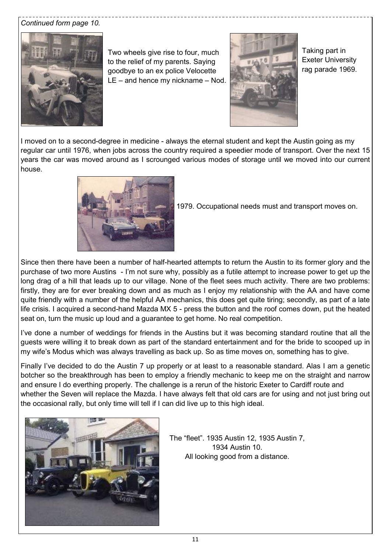### *Continued form page 10.*



Two wheels give rise to four, much to the relief of my parents. Saying goodbye to an ex police Velocette LE – and hence my nickname – Nod.



Taking part in Exeter University rag parade 1969.

I moved on to a second-degree in medicine - always the eternal student and kept the Austin going as my regular car until 1976, when jobs across the country required a speedier mode of transport. Over the next 15 years the car was moved around as I scrounged various modes of storage until we moved into our current house.



1979. Occupational needs must and transport moves on.

Since then there have been a number of half-hearted attempts to return the Austin to its former glory and the purchase of two more Austins - I'm not sure why, possibly as a futile attempt to increase power to get up the long drag of a hill that leads up to our village. None of the fleet sees much activity. There are two problems: firstly, they are for ever breaking down and as much as I enjoy my relationship with the AA and have come quite friendly with a number of the helpful AA mechanics, this does get quite tiring; secondly, as part of a late life crisis. I acquired a second-hand Mazda MX 5 - press the button and the roof comes down, put the heated seat on, turn the music up loud and a guarantee to get home. No real competition.

I've done a number of weddings for friends in the Austins but it was becoming standard routine that all the guests were willing it to break down as part of the standard entertainment and for the bride to scooped up in my wife's Modus which was always travelling as back up. So as time moves on, something has to give.

Finally I've decided to do the Austin 7 up properly or at least to a reasonable standard. Alas I am a genetic botcher so the breakthrough has been to employ a friendly mechanic to keep me on the straight and narrow and ensure I do everthing properly. The challenge is a rerun of the historic Exeter to Cardiff route and whether the Seven will replace the Mazda. I have always felt that old cars are for using and not just bring out the occasional rally, but only time will tell if I can did live up to this high ideal.



The "fleet". 1935 Austin 12, 1935 Austin 7, 1934 Austin 10. All looking good from a distance.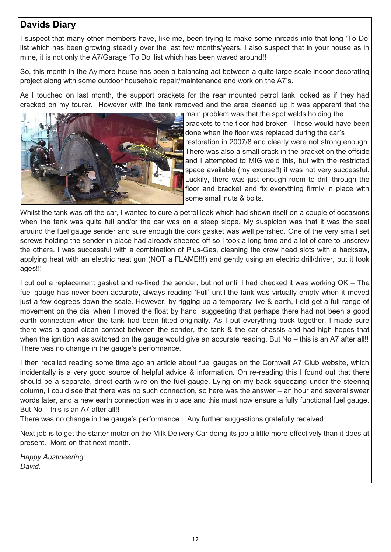# **Davids Diary**

I suspect that many other members have, like me, been trying to make some inroads into that long 'To Do' list which has been growing steadily over the last few months/years. I also suspect that in your house as in mine, it is not only the A7/Garage 'To Do' list which has been waved around!!

So, this month in the Aylmore house has been a balancing act between a quite large scale indoor decorating project along with some outdoor household repair/maintenance and work on the A7's.

As I touched on last month, the support brackets for the rear mounted petrol tank looked as if they had cracked on my tourer. However with the tank removed and the area cleaned up it was apparent that the



main problem was that the spot welds holding the brackets to the floor had broken. These would have been done when the floor was replaced during the car's restoration in 2007/8 and clearly were not strong enough. There was also a small crack in the bracket on the offside and I attempted to MIG weld this, but with the restricted space available (my excuse!!) it was not very successful. Luckily, there was just enough room to drill through the floor and bracket and fix everything firmly in place with some small nuts & bolts.

Whilst the tank was off the car, I wanted to cure a petrol leak which had shown itself on a couple of occasions when the tank was quite full and/or the car was on a steep slope. My suspicion was that it was the seal around the fuel gauge sender and sure enough the cork gasket was well perished. One of the very small set screws holding the sender in place had already sheered off so I took a long time and a lot of care to unscrew the others. I was successful with a combination of Plus-Gas, cleaning the crew head slots with a hacksaw, applying heat with an electric heat gun (NOT a FLAME!!!) and gently using an electric drill/driver, but it took ages!!!

I cut out a replacement gasket and re-fixed the sender, but not until I had checked it was working OK – The fuel gauge has never been accurate, always reading 'Full' until the tank was virtually empty when it moved just a few degrees down the scale. However, by rigging up a temporary live & earth, I did get a full range of movement on the dial when I moved the float by hand, suggesting that perhaps there had not been a good earth connection when the tank had been fitted originally. As I put everything back together, I made sure there was a good clean contact between the sender, the tank & the car chassis and had high hopes that when the ignition was switched on the gauge would give an accurate reading. But No – this is an A7 after all!! There was no change in the gauge's performance.

I then recalled reading some time ago an article about fuel gauges on the Cornwall A7 Club website, which incidentally is a very good source of helpful advice & information. On re-reading this I found out that there should be a separate, direct earth wire on the fuel gauge. Lying on my back squeezing under the steering column, I could see that there was no such connection, so here was the answer – an hour and several swear words later, and a new earth connection was in place and this must now ensure a fully functional fuel gauge. But No – this is an A7 after all!!

There was no change in the gauge's performance. Any further suggestions gratefully received.

Next job is to get the starter motor on the Milk Delivery Car doing its job a little more effectively than it does at present. More on that next month.

*Happy Austineering. David.*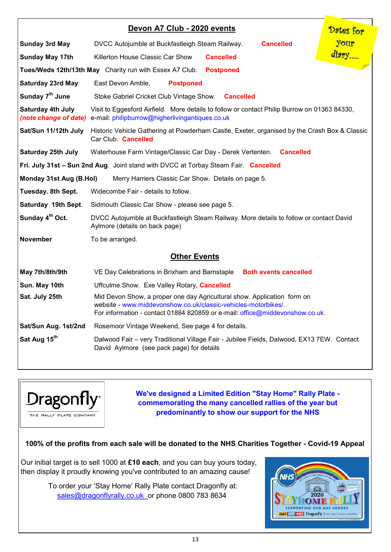| Devon A7 Club - 2020 events                                                         |                                                                                                                                                                                                                           | Dates for |
|-------------------------------------------------------------------------------------|---------------------------------------------------------------------------------------------------------------------------------------------------------------------------------------------------------------------------|-----------|
| <b>Sunday 3rd May</b>                                                               | <b>Cancelled</b><br>DVCC Autojumble at Buckfastleigh Steam Railway.                                                                                                                                                       | your      |
| <b>Sunday May 17th</b>                                                              | Killerton House Classic Car Show<br><b>Cancelled</b>                                                                                                                                                                      | diary     |
| Tues/Weds 12th/13th May Charity run with Essex A7 Club.<br><b>Postponed</b>         |                                                                                                                                                                                                                           |           |
| <b>Saturday 23rd May</b>                                                            | East Devon Amble,<br><b>Postponed</b>                                                                                                                                                                                     |           |
| Sunday 7 <sup>th</sup> June                                                         | Stoke Gabriel Cricket Club Vintage Show.<br><b>Cancelled</b>                                                                                                                                                              |           |
| Saturday 4th July                                                                   | Visit to Eggesford Airfield. More details to follow or contact Philip Burrow on 01363 84330,<br>(note change of date) e-mail: philipburrow@higherlivingantiques.co.uk                                                     |           |
| Sat/Sun 11/12th July                                                                | Historic Vehicle Gathering at Powderham Castle, Exeter, organised by the Crash Box & Classic<br>Car Club. <b>Cancelled</b>                                                                                                |           |
| <b>Saturday 25th July</b>                                                           | Waterhouse Farm Vintage/Classic Car Day - Derek Vertenten. Cancelled                                                                                                                                                      |           |
| Fri. July 31st - Sun 2nd Aug. Joint stand with DVCC at Torbay Steam Fair. Cancelled |                                                                                                                                                                                                                           |           |
| Monday 31st Aug (B.Hol)<br>Merry Harriers Classic Car Show. Details on page 5.      |                                                                                                                                                                                                                           |           |
| Tuesday. 8th Sept.                                                                  | Widecombe Fair - details to follow.                                                                                                                                                                                       |           |
| Saturday 19th Sept.                                                                 | Sidmouth Classic Car Show - please see page 5.                                                                                                                                                                            |           |
| Sunday 4 <sup>th</sup> Oct.                                                         | DVCC Autojumble at Buckfastleigh Steam Railway. More details to follow or contact David<br>Aylmore (details on back page)                                                                                                 |           |
| <b>November</b>                                                                     | To be arranged.                                                                                                                                                                                                           |           |
| <b>Other Events</b>                                                                 |                                                                                                                                                                                                                           |           |
| May 7th/8th/9th                                                                     | VE Day Celebrations in Brixham and Barnstaple<br><b>Both events cancelled</b>                                                                                                                                             |           |
| Sun. May 10th                                                                       | Uffculme Show. Exe Valley Rotary, Cancelled                                                                                                                                                                               |           |
| Sat. July 25th                                                                      | Mid Devon Show, a proper one day Agricultural show. Application form on<br>website - www.middevonshow.co.uk/classic-vehicles-motorbikes/.<br>For information - contact 01884 820859 or e-mail: office@middevonshow.co.uk. |           |
| Sat/Sun Aug. 1st/2nd                                                                | Rosemoor Vintage Weekend, See page 4 for details.                                                                                                                                                                         |           |
| Sat Aug 15 <sup>th</sup>                                                            | Dalwood Fair - very Traditional Village Fair - Jubilee Fields, Dalwood, EX13 7EW. Contact<br>David Aylmore (see pack page) for details                                                                                    |           |



**We've designed a Limited Edition "Stay Home" Rally Plate commemorating the many cancelled rallies of the year but predominantly to show our support for the NHS**

**100% of the profits from each sale will be donated to the NHS Charities Together - Covid-19 Appeal**

Our initial target is to sell 1000 at **£10 each**, and you can buy yours today, then display it proudly knowing you've contributed to an amazing cause!

> To order your 'Stay Home' Rally Plate contact Dragonfly at: sales@dragonflyrally.co.uk or phone 0800 783 8634

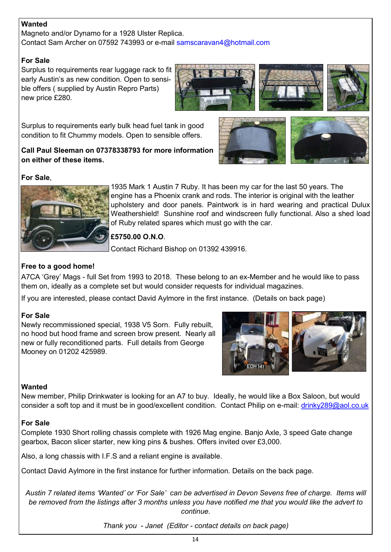### **Wanted**

Magneto and/or Dynamo for a 1928 Ulster Replica. Contact Sam Archer on 07592 743993 or e-mail samscaravan4@hotmail.com

#### **For Sale**

Surplus to requirements rear luggage rack to fit early Austin's as new condition. Open to sensible offers ( supplied by Austin Repro Parts) new price £280.



Surplus to requirements early bulk head fuel tank in good condition to fit Chummy models. Open to sensible offers.

#### **Call Paul Sleeman on 07378338793 for more information on either of these items.**



### **For Sale**,



1935 Mark 1 Austin 7 Ruby. It has been my car for the last 50 years. The engine has a Phoenix crank and rods. The interior is original with the leather upholstery and door panels. Paintwork is in hard wearing and practical Dulux Weathershield! Sunshine roof and windscreen fully functional. Also a shed load of Ruby related spares which must go with the car.

### **£5750.00 O.N.O**.

Contact Richard Bishop on 01392 439916.

### **Free to a good home!**

A7CA 'Grey' Mags - full Set from 1993 to 2018. These belong to an ex-Member and he would like to pass them on, ideally as a complete set but would consider requests for individual magazines.

If you are interested, please contact David Aylmore in the first instance. (Details on back page)

#### **For Sale**

Newly recommissioned special, 1938 V5 Sorn. Fully rebuilt, no hood but hood frame and screen brow present. Nearly all new or fully reconditioned parts. Full details from George Mooney on 01202 425989.



### **Wanted**

New member, Philip Drinkwater is looking for an A7 to buy. Ideally, he would like a Box Saloon, but would consider a soft top and it must be in good/excellent condition. Contact Philip on e-mail: [drinky289@aol.co.uk](mailto:drinky289@aol.co.uk)

#### **For Sale**

Complete 1930 Short rolling chassis complete with 1926 Mag engine. Banjo Axle, 3 speed Gate change gearbox, Bacon slicer starter, new king pins & bushes. Offers invited over £3,000.

Also, a long chassis with I.F.S and a reliant engine is available.

Contact David Aylmore in the first instance for further information. Details on the back page.

*Austin 7 related items 'Wanted' or 'For Sale' can be advertised in Devon Sevens free of charge. Items will be removed from the listings after 3 months unless you have notified me that you would like the advert to continue.* 

*Thank you - Janet (Editor - contact details on back page)*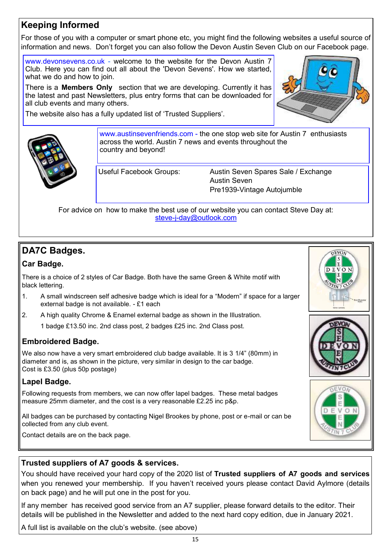# **Keeping Informed**

For those of you with a computer or smart phone etc, you might find the following websites a useful source of information and news. Don't forget you can also follow the Devon Austin Seven Club on our Facebook page.

www.devonsevens.co.uk - welcome to the website for the Devon Austin 7 Club. Here you can find out all about the 'Devon Sevens'. How we started, what we do and how to join.

There is a **Members Only** section that we are developing. Currently it has the latest and past Newsletters, plus entry forms that can be downloaded for all club events and many others.

The website also has a fully updated list of 'Trusted Suppliers'.





www.austinsevenfriends.com - the one stop web site for Austin 7 enthusiasts across the world. Austin 7 news and events throughout the country and beyond!

Useful Facebook Groups: Austin Seven Spares Sale / Exchange Austin Seven Pre1939-Vintage Autojumble

For advice on how to make the best use of our website you can contact Steve Day at: steve-j-[day@outlook.com](mailto:steve-j-day@outlook.com)

# **DA7C Badges.**

### **Car Badge.**

There is a choice of 2 styles of Car Badge. Both have the same Green & White motif with black lettering.

- 1. A small windscreen self adhesive badge which is ideal for a "Modern" if space for a larger external badge is not available. - £1 each
- 2. A high quality Chrome & Enamel external badge as shown in the Illustration.

1 badge £13.50 inc. 2nd class post, 2 badges £25 inc. 2nd Class post.

### **Embroidered Badge.**

We also now have a very smart embroidered club badge available. It is 3 1/4" (80mm) in diameter and is, as shown in the picture, very similar in design to the car badge. Cost is £3.50 (plus 50p postage)

### **Lapel Badge.**

Following requests from members, we can now offer lapel badges. These metal badges measure 25mm diameter, and the cost is a very reasonable £2.25 inc p&p.

All badges can be purchased by contacting Nigel Brookes by phone, post or e-mail or can be collected from any club event.

Contact details are on the back page.







## **Trusted suppliers of A7 goods & services.**

You should have received your hard copy of the 2020 list of **Trusted suppliers of A7 goods and services**  when you renewed your membership. If you haven't received yours please contact David Aylmore (details on back page) and he will put one in the post for you.

If any member has received good service from an A7 supplier, please forward details to the editor. Their details will be published in the Newsletter and added to the next hard copy edition, due in January 2021.

A full list is available on the club's website. (see above)